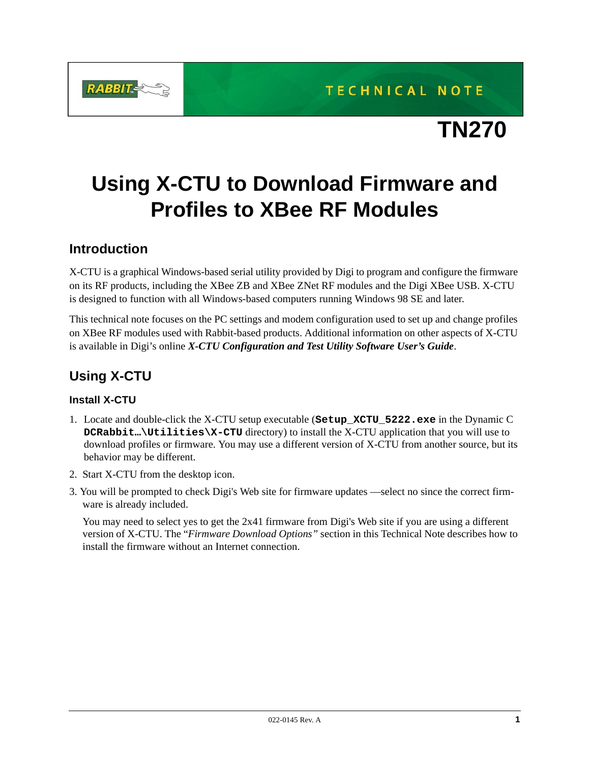

TECHNICAL NOTE

# **Using X-CTU to Download Firmware and Profiles to XBee RF Modules**

## **Introduction**

X-CTU is a graphical Windows-based serial utility provided by Digi to program and configure the firmware on its RF products, including the XBee ZB and XBee ZNet RF modules and the Digi XBee USB. X-CTU is designed to function with all Windows-based computers running Windows 98 SE and later.

This technical note focuses on the PC settings and modem configuration used to set up and change profiles on XBee RF modules used with Rabbit-based products. Additional information on other aspects of X-CTU is available in Digi's online *[X-CTU Configuration and Test Utility Software User's Guide](http://ftp1.digi.com/support/documentation/90001003_A.pdf)*.

# **Using X-CTU**

#### **Install X-CTU**

- 1. Locate and double-click the X-CTU setup executable (**Setup\_XCTU\_5222.exe** in the Dynamic C **DCRabbit…\Utilities\X-CTU** directory) to install the X-CTU application that you will use to download profiles or firmware. You may use a different version of X-CTU from another source, but its behavior may be different.
- 2. Start X-CTU from the desktop icon.
- 3. You will be prompted to check Digi's Web site for firmware updates —select no since the correct firmware is already included.

You may need to select yes to get the 2x41 firmware from Digi's Web site if you are using a different version of X-CTU. The "*[Firmware Download Options"](#page-4-0)* section in this Technical Note describes how to install the firmware without an Internet connection.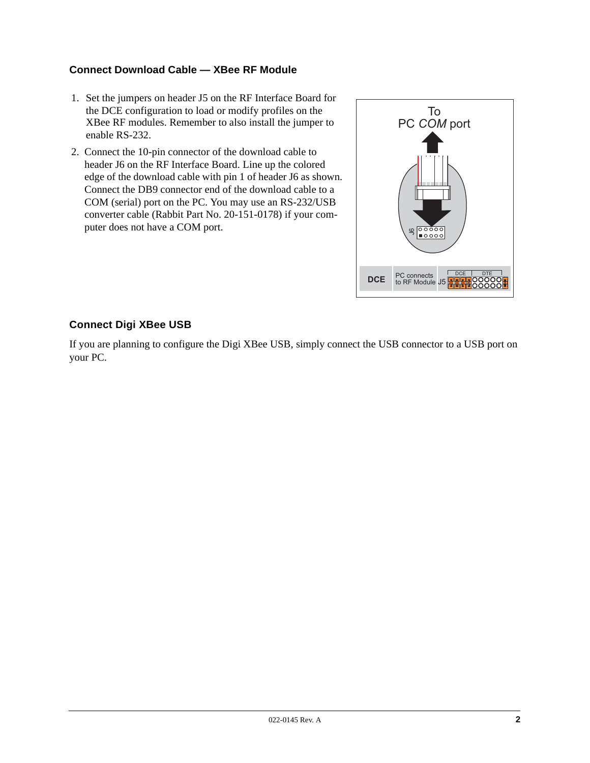#### **Connect Download Cable — XBee RF Module**

- 1. Set the jumpers on header J5 on the RF Interface Board for the DCE configuration to load or modify profiles on the XBee RF modules. Remember to also install the jumper to enable RS-232.
- 2. Connect the 10-pin connector of the download cable to header J6 on the RF Interface Board. Line up the colored edge of the download cable with pin 1 of header J6 as shown. Connect the DB9 connector end of the download cable to a COM (serial) port on the PC. You may use an RS-232/USB converter cable (Rabbit Part No. 20-151-0178) if your computer does not have a COM port.



#### **Connect Digi XBee USB**

If you are planning to configure the Digi XBee USB, simply connect the USB connector to a USB port on your PC.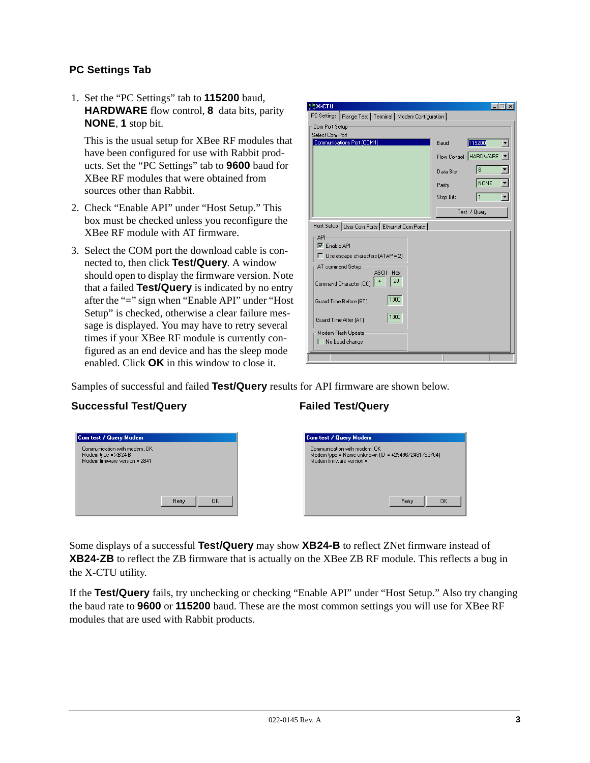#### **PC Settings Tab**

1. Set the "PC Settings" tab to **115200** baud, **HARDWARE** flow control, **8** data bits, parity **NONE**, **1** stop bit.

This is the usual setup for XBee RF modules that have been configured for use with Rabbit products. Set the "PC Settings" tab to **9600** baud for XBee RF modules that were obtained from sources other than Rabbit.

- 2. Check "Enable API" under "Host Setup." This box must be checked unless you reconfigure the XBee RF module with AT firmware.
- 3. Select the COM port the download cable is connected to, then click **Test/Query**. A window should open to display the firmware version. Note that a failed **Test/Query** is indicated by no entry after the "=" sign when "Enable API" under "Host Setup" is checked, otherwise a clear failure message is displayed. You may have to retry several times if your XBee RF module is currently configured as an end device and has the sleep mode enabled. Click **OK** in this window to close it.

| <b>EX-CTU</b>                                             |                  | $\times$              |  |
|-----------------------------------------------------------|------------------|-----------------------|--|
| PC Settings   Range Test   Terminal   Modem Configuration |                  |                       |  |
| Com Port Setup                                            |                  |                       |  |
| Select Com Port                                           |                  |                       |  |
| Communications Port (COM1)                                | Baud             | 115200                |  |
|                                                           |                  | Flow Control HARDWARE |  |
|                                                           | Data Bits        | 18                    |  |
|                                                           | Parity           | NONE                  |  |
|                                                           | <b>Stop Bits</b> | 11                    |  |
|                                                           |                  | Test / Query          |  |
| Host Setup   User Com Ports   Ethernet Com Ports          |                  |                       |  |
| API                                                       |                  |                       |  |
| $\nabla$ Enable API                                       |                  |                       |  |
| $\Box$ Use escape characters (ATAP = 2)                   |                  |                       |  |
| AT command Setup                                          |                  |                       |  |
| <b>ASCII</b><br>Hex<br>2В<br>Command Character (CC)       |                  |                       |  |
| 1000<br>Guard Time Before (BT)                            |                  |                       |  |
| 1000<br>Guard Time After (AT)                             |                  |                       |  |
| Modem Flash Update                                        |                  |                       |  |
| $\Gamma$ No baud change                                   |                  |                       |  |
|                                                           |                  |                       |  |

Samples of successful and failed **Test/Query** results for API firmware are shown below.

#### Successful Test/Query **Failed Test/Query**

| Com test / Query Modem        | Com test / Query Modem                             |
|-------------------------------|----------------------------------------------------|
| Communication with modemOK    | Communication with modemOK                         |
| Modem type = $XB24-B$         | Modem type = Name unknown (ID = 42949672481793704) |
| Modem firmware version = 2841 | Modem firmware version =                           |
| Retry                         | Retry                                              |
| <b>OK</b>                     | <b>OK</b>                                          |

Some displays of a successful **Test/Query** may show **XB24-B** to reflect ZNet firmware instead of **XB24-ZB** to reflect the ZB firmware that is actually on the XBee ZB RF module. This reflects a bug in the X-CTU utility.

If the **Test/Query** fails, try unchecking or checking "Enable API" under "Host Setup." Also try changing the baud rate to **9600** or **115200** baud. These are the most common settings you will use for XBee RF modules that are used with Rabbit products.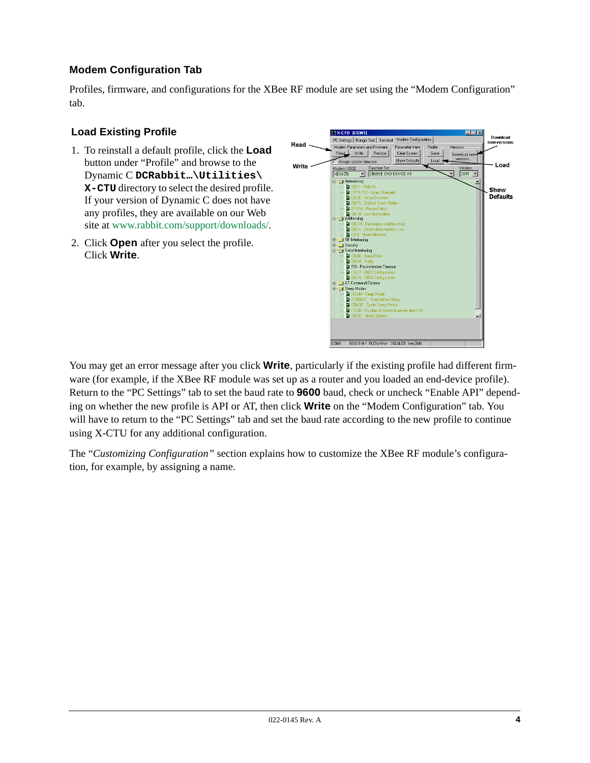### **Modem Configuration Tab**

Profiles, firmware, and configurations for the XBee RF module are set using the "Modem Configuration" tab.

#### **Load Existing Profile**

- 1. To reinstall a default profile, click the **Load**  button under "Profile" and browse to the Dynamic C **DCRabbit…\Utilities\ X-CTU** directory to select the desired profile. If your version of Dynamic C does not have any profiles, they are available on our Web site at [www.rabbit.com/support/downloads/.](http://www.rabbit.com/support/downloads/)
- 2. Click **Open** after you select the profile. Click **Write**.



You may get an error message after you click **Write**, particularly if the existing profile had different firmware (for example, if the XBee RF module was set up as a router and you loaded an end-device profile). Return to the "PC Settings" tab to set the baud rate to **9600** baud, check or uncheck "Enable API" depending on whether the new profile is API or AT, then click **Write** on the "Modem Configuration" tab. You will have to return to the "PC Settings" tab and set the baud rate according to the new profile to continue using X-CTU for any additional configuration.

The "*[Customizing Configuration"](#page-5-0)* section explains how to customize the XBee RF module's configuration, for example, by assigning a name.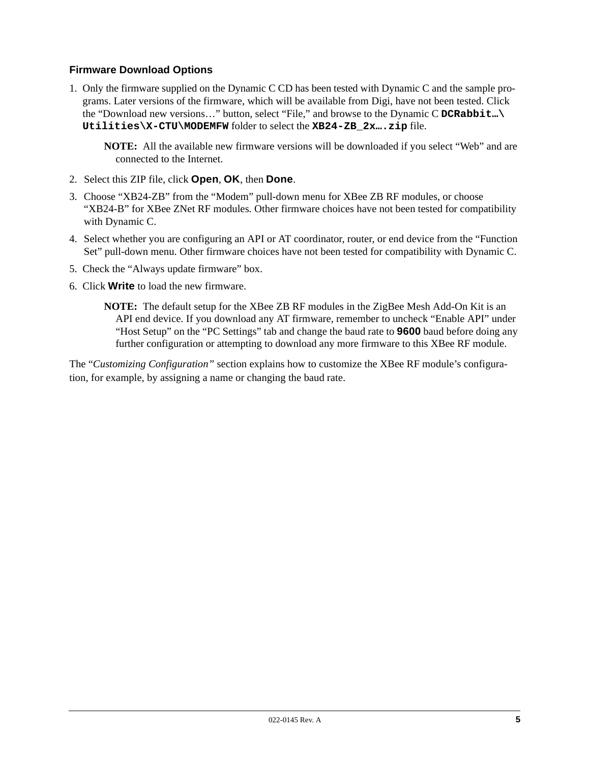#### <span id="page-4-0"></span>**Firmware Download Options**

1. Only the firmware supplied on the Dynamic C CD has been tested with Dynamic C and the sample programs. Later versions of the firmware, which will be available from Digi, have not been tested. Click the "Download new versions…" button, select "File," and browse to the Dynamic C **DCRabbit…\ Utilities\X-CTU\MODEMFW** folder to select the **XB24-ZB\_2x….zip** file.

**NOTE:** All the available new firmware versions will be downloaded if you select "Web" and are connected to the Internet.

- 2. Select this ZIP file, click **Open**, **OK**, then **Done**.
- 3. Choose "XB24-ZB" from the "Modem" pull-down menu for XBee ZB RF modules, or choose "XB24-B" for XBee ZNet RF modules. Other firmware choices have not been tested for compatibility with Dynamic C.
- 4. Select whether you are configuring an API or AT coordinator, router, or end device from the "Function Set" pull-down menu. Other firmware choices have not been tested for compatibility with Dynamic C.
- 5. Check the "Always update firmware" box.
- 6. Click **Write** to load the new firmware.

**NOTE:** The default setup for the XBee ZB RF modules in the ZigBee Mesh Add-On Kit is an API end device. If you download any AT firmware, remember to uncheck "Enable API" under "Host Setup" on the "PC Settings" tab and change the baud rate to **9600** baud before doing any further configuration or attempting to download any more firmware to this XBee RF module.

The "*[Customizing Configuration"](#page-5-0)* section explains how to customize the XBee RF module's configuration, for example, by assigning a name or changing the baud rate.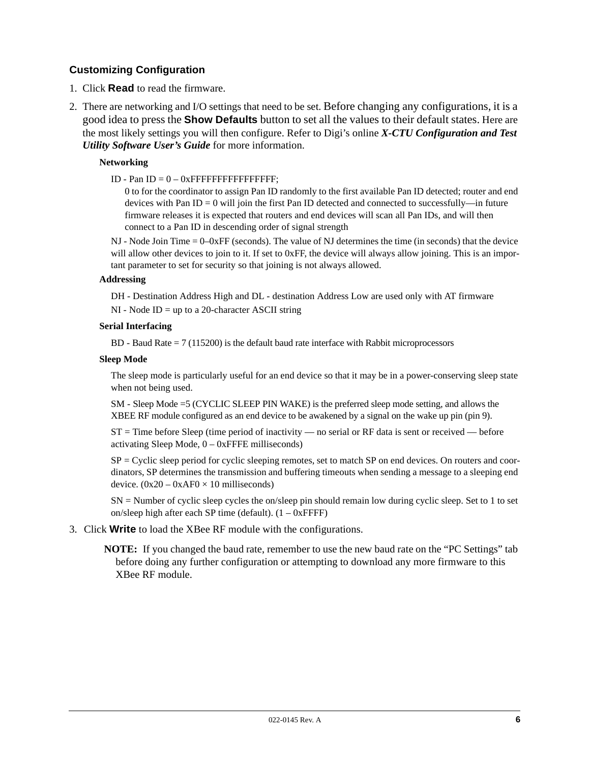#### <span id="page-5-0"></span>**Customizing Configuration**

- 1. Click **Read** to read the firmware.
- 2. There are networking and I/O settings that need to be set. Before changing any configurations, it is a good idea to press the **Show Defaults** button to set all the values to their default states. Here are the most likely settings you will then configure. Refer to Digi's online *[X-CTU Configuration and Test](http://ftp1.digi.com/support/documentation/90001003_A.pdf)  [Utility Software User's Guide](http://ftp1.digi.com/support/documentation/90001003_A.pdf)* for more information.

#### **Networking**

ID - Pan ID =  $0 - 0x$ FFFFFFFFFFFFFFFFFFFFF;

0 to for the coordinator to assign Pan ID randomly to the first available Pan ID detected; router and end devices with Pan ID = 0 will join the first Pan ID detected and connected to successfully—in future firmware releases it is expected that routers and end devices will scan all Pan IDs, and will then connect to a Pan ID in descending order of signal strength

NJ - Node Join Time = 0–0xFF (seconds). The value of NJ determines the time (in seconds) that the device will allow other devices to join to it. If set to 0xFF, the device will always allow joining. This is an important parameter to set for security so that joining is not always allowed.

#### **Addressing**

DH - Destination Address High and DL - destination Address Low are used only with AT firmware

 $NI - Node ID = up to a 20-character ASCII string$ 

#### **Serial Interfacing**

 $BD - Baud Rate = 7 (115200)$  is the default baud rate interface with Rabbit microprocessors

#### **Sleep Mode**

The sleep mode is particularly useful for an end device so that it may be in a power-conserving sleep state when not being used.

SM - Sleep Mode =5 (CYCLIC SLEEP PIN WAKE) is the preferred sleep mode setting, and allows the XBEE RF module configured as an end device to be awakened by a signal on the wake up pin (pin 9).

ST = Time before Sleep (time period of inactivity — no serial or RF data is sent or received — before activating Sleep Mode,  $0 - 0x$ FFFE milliseconds)

 $SP = C$ yclic sleep period for cyclic sleeping remotes, set to match SP on end devices. On routers and coordinators, SP determines the transmission and buffering timeouts when sending a message to a sleeping end device.  $(0x20 - 0xAF0 \times 10$  milliseconds)

SN = Number of cyclic sleep cycles the on/sleep pin should remain low during cyclic sleep. Set to 1 to set on/sleep high after each SP time (default).  $(1 - 0x$ FFFF)

#### 3. Click **Write** to load the XBee RF module with the configurations.

**NOTE:** If you changed the baud rate, remember to use the new baud rate on the "PC Settings" tab before doing any further configuration or attempting to download any more firmware to this XBee RF module.